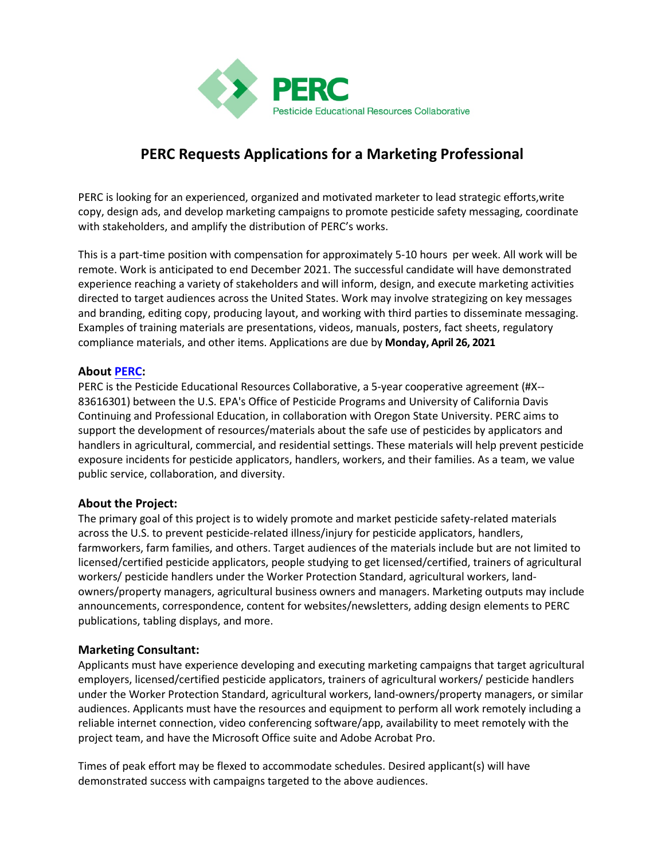

# **PERC Requests Applications for a Marketing Professional**

PERC is looking for an experienced, organized and motivated marketer to lead strategic efforts,write copy, design ads, and develop marketing campaigns to promote pesticide safety messaging, coordinate with stakeholders, and amplify the distribution of PERC's works.

This is a part-time position with compensation for approximately 5-10 hours per week. All work will be remote. Work is anticipated to end December 2021. The successful candidate will have demonstrated experience reaching a variety of stakeholders and will inform, design, and execute marketing activities directed to target audiences across the United States. Work may involve strategizing on key messages and branding, editing copy, producing layout, and working with third parties to disseminate messaging. Examples of training materials are presentations, videos, manuals, posters, fact sheets, regulatory compliance materials, and other items. Applications are due by **Monday, April 26, 2021** 

### **About [PERC:](http://pesticideresources.org/)**

PERC is the Pesticide Educational Resources Collaborative, a 5-year cooperative agreement (#X-- 83616301) between the U.S. EPA's Office of Pesticide Programs and University of California Davis Continuing and Professional Education, in collaboration with Oregon State University. PERC aims to support the development of resources/materials about the safe use of pesticides by applicators and handlers in agricultural, commercial, and residential settings. These materials will help prevent pesticide exposure incidents for pesticide applicators, handlers, workers, and their families. As a team, we value public service, collaboration, and diversity.

# **About the Project:**

The primary goal of this project is to widely promote and market pesticide safety-related materials across the U.S. to prevent pesticide-related illness/injury for pesticide applicators, handlers, farmworkers, farm families, and others. Target audiences of the materials include but are not limited to licensed/certified pesticide applicators, people studying to get licensed/certified, trainers of agricultural workers/ pesticide handlers under the Worker Protection Standard, agricultural workers, landowners/property managers, agricultural business owners and managers. Marketing outputs may include announcements, correspondence, content for websites/newsletters, adding design elements to PERC publications, tabling displays, and more.

### **Marketing Consultant:**

Applicants must have experience developing and executing marketing campaigns that target agricultural employers, licensed/certified pesticide applicators, trainers of agricultural workers/ pesticide handlers under the Worker Protection Standard, agricultural workers, land-owners/property managers, or similar audiences. Applicants must have the resources and equipment to perform all work remotely including a reliable internet connection, video conferencing software/app, availability to meet remotely with the project team, and have the Microsoft Office suite and Adobe Acrobat Pro.

Times of peak effort may be flexed to accommodate schedules. Desired applicant(s) will have demonstrated success with campaigns targeted to the above audiences.